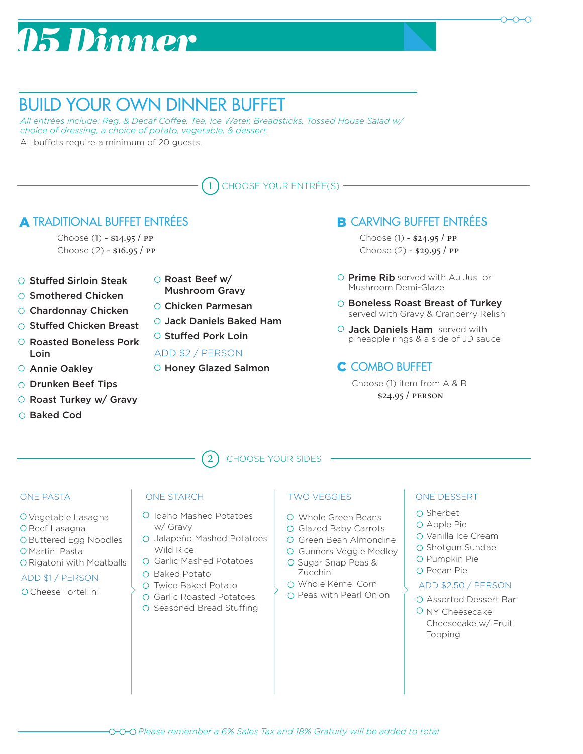# *05 Dinner*



## BUILD YOUR OWN DINNER BUFFET

*All entrées include: Reg. & Decaf Coffee, Tea, Ice Water, Breadsticks, Tossed House Salad w/ choice of dressing, a choice of potato, vegetable, & dessert.* All buffets require a minimum of 20 guests.



#### **A TRADITIONAL BUFFET ENTRÉES** TRADITIONAL BUFFET ENTRÉES **EN ENTREES**

Choose (1) - \$14.95 / pp Choose (2) - \$16.95 / pp

- $\circ$  Stuffed Sirloin Steak
- O Smothered Chicken
- 
- Stuffed Chicken Breast
- Roasted Boneless Pork Loin
- Annie Oakley
- O Drunken Beef Tips
- Roast Turkey w/ Gravy
- Baked Cod
- Roast Beef w/ Mushroom Gravy
- O Chardonnay Chicken Chicken Parmesan
	- Jack Daniels Baked Ham
	- O Stuffed Pork Loin

#### ADD \$2 / PERSON

O Honey Glazed Salmon

- Choose (1) \$24.95 / pp Choose (2) - \$29.95 / pp
- Prime Rib served with Au Jus or Mushroom Demi-Glaze
- O Boneless Roast Breast of Turkey served with Gravy & Cranberry Relish
- Jack Daniels Ham served with pineapple rings & a side of JD sauce

### C COMBO BUFFET

\$24.95 / person Choose (1) item from A & B

2 CHOOSE YOUR SIDES

#### ONE PASTA

- Vegetable Lasagna
- O Beef Lasagna
- O Buttered Egg Noodles
- O Martini Pasta
- O Rigatoni with Meatballs
- ADD \$1 / PERSON
- O Cheese Tortellini

#### ONE STARCH

- O Idaho Mashed Potatoes w/ Gravy
- O Jalapeño Mashed Potatoes Wild Rice
- O Garlic Mashed Potatoes
- O Baked Potato
- O Twice Baked Potato
- Garlic Roasted Potatoes O Seasoned Bread Stuffing
- TWO VEGGIES
- Whole Green Beans
- O Glazed Baby Carrots
- O Green Bean Almondine
- Gunners Veggie Medley
- O Sugar Snap Peas & Zucchini
- Whole Kernel Corn
- O Peas with Pearl Onion

### O Sherbet ONE DESSERT

- Apple Pie
- O Vanilla Ice Cream
- O Shotgun Sundae
- O Pumpkin Pie
- O Pecan Pie

#### ADD \$2.50 / PERSON

- Assorted Dessert Bar
- $O$  NY Cheesecake Cheesecake w/ Fruit Topping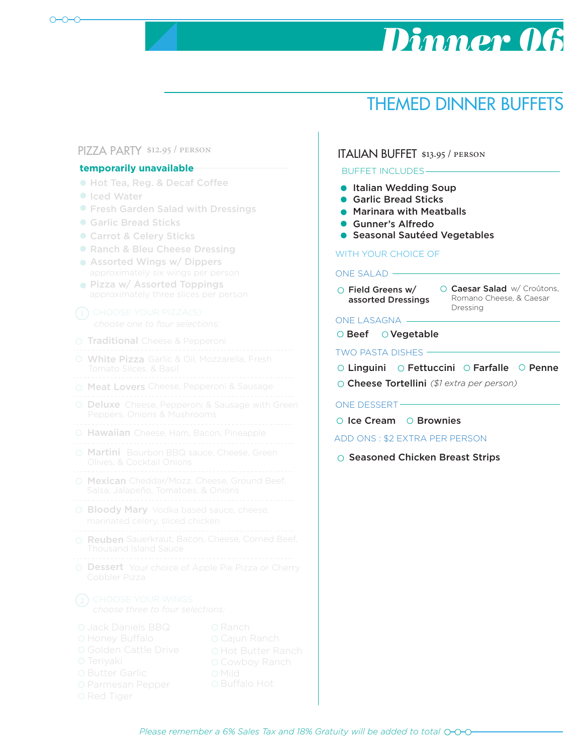# *Dinner 06*

## THEMED DINNER BUFFETS

#### PIZZA PARTY \$12.95 / person

#### temporarily unavailable

- Hot Tea, Reg. & Decaf Coffee
- **Iced Water**
- **Fresh Garden Salad with Dressings**
- Garlic Bread Sticks
- Carrot & Celery Sticks
- Ranch & Bleu Cheese Dressing
- **Assorted Wings w/ Dippers**
- **Pizza w/ Assorted Toppings**

- O Traditional Cheese & Pepperoni
- White Pizza Garlic & Oil, Mozzarella, Fresh
- O Meat Lovers Cheese, Pepperoni & Sausage
- 
- Deluxe Cheese, Pepperoni & Sausage with Green
- O Hawaiian Cheese, Ham, Bacon, Pineapple
- 
- Martini Bourbon BBQ sauce, Cheese, Green
- Mexican Cheddar/Mozz. Cheese, Ground Beef,
- **Bloody Mary** Vodka based sauce, cheese,
- Reuben Sauerkraut, Bacon, Cheese, Corned Beef,
- Dessert Your choice of Apple Pie Pizza or Cherry

- 
- 
- 
- 
- 
- 
- 
- 

### ITALIAN BUFFET \$13.95 / person

#### BUFFET INCLUDES

- **Italian Wedding Soup**
- Garlic Bread Sticks
- Marinara with Meatballs
- **Gunner's Alfredo**
- **Seasonal Sautéed Vegetables**

#### WITH YOUR CHOICE OF

#### ONE SALAD

Field Greens w/ assorted Dressings

Caesar Salad w/ Croûtons, Romano Cheese, & Caesar Dressing

#### ONE LASAGNA

O Beef O Vegetable

TWO PASTA DISHES

*(\$1 extra per person)* Cheese Tortellini Linguini O Fettuccini O Farfalle O Penne

#### ONE DESSERT

 $\circ$  Ice Cream  $\circ$  Brownies

ADD ONS : \$2 EXTRA PER PERSON

 $\circ$  Seasoned Chicken Breast Strips

*Please remember a 6% Sales Tax and 18% Gratuity will be added to total*